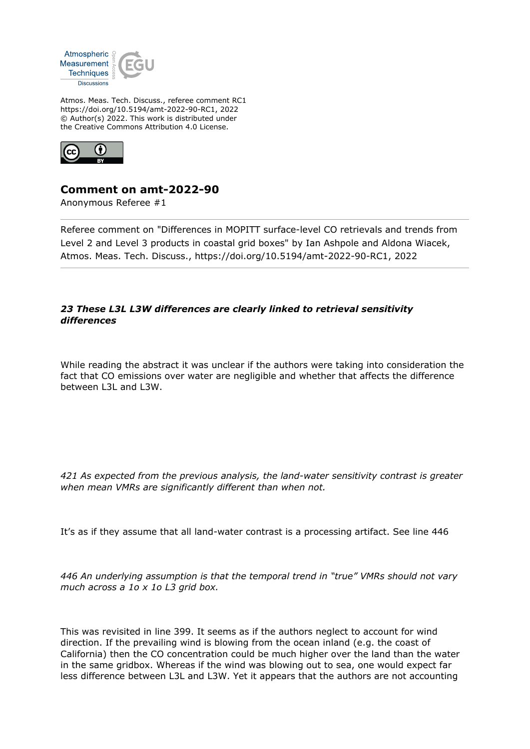

Atmos. Meas. Tech. Discuss., referee comment RC1 https://doi.org/10.5194/amt-2022-90-RC1, 2022 © Author(s) 2022. This work is distributed under the Creative Commons Attribution 4.0 License.



## **Comment on amt-2022-90**

Anonymous Referee #1

Referee comment on "Differences in MOPITT surface-level CO retrievals and trends from Level 2 and Level 3 products in coastal grid boxes" by Ian Ashpole and Aldona Wiacek, Atmos. Meas. Tech. Discuss., https://doi.org/10.5194/amt-2022-90-RC1, 2022

## *23 These L3L L3W differences are clearly linked to retrieval sensitivity differences*

While reading the abstract it was unclear if the authors were taking into consideration the fact that CO emissions over water are negligible and whether that affects the difference between L3L and L3W.

*421 As expected from the previous analysis, the land-water sensitivity contrast is greater when mean VMRs are significantly different than when not.*

It's as if they assume that all land-water contrast is a processing artifact. See line 446

*446 An underlying assumption is that the temporal trend in "true" VMRs should not vary much across a 1o x 1o L3 grid box.*

This was revisited in line 399. It seems as if the authors neglect to account for wind direction. If the prevailing wind is blowing from the ocean inland (e.g. the coast of California) then the CO concentration could be much higher over the land than the water in the same gridbox. Whereas if the wind was blowing out to sea, one would expect far less difference between L3L and L3W. Yet it appears that the authors are not accounting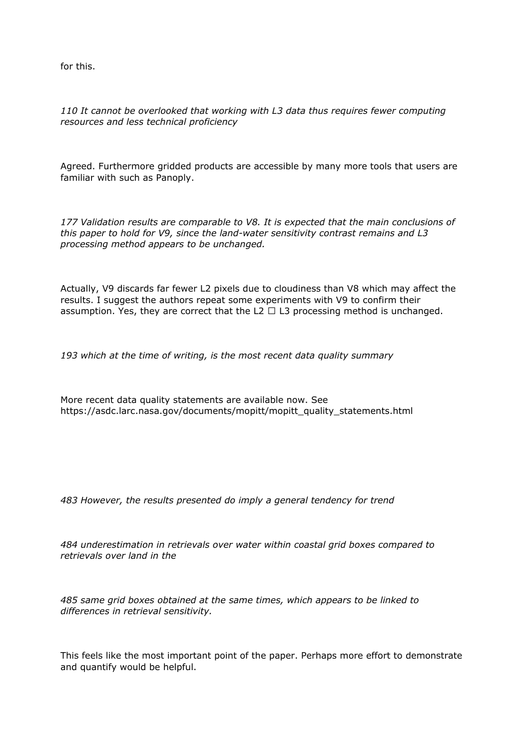for this.

*110 It cannot be overlooked that working with L3 data thus requires fewer computing resources and less technical proficiency*

Agreed. Furthermore gridded products are accessible by many more tools that users are familiar with such as Panoply.

*177 Validation results are comparable to V8. It is expected that the main conclusions of this paper to hold for V9, since the land-water sensitivity contrast remains and L3 processing method appears to be unchanged.*

Actually, V9 discards far fewer L2 pixels due to cloudiness than V8 which may affect the results. I suggest the authors repeat some experiments with V9 to confirm their assumption. Yes, they are correct that the L2  $\Box$  L3 processing method is unchanged.

*193 which at the time of writing, is the most recent data quality summary*

More recent data quality statements are available now. See https://asdc.larc.nasa.gov/documents/mopitt/mopitt\_quality\_statements.html

*483 However, the results presented do imply a general tendency for trend*

*484 underestimation in retrievals over water within coastal grid boxes compared to retrievals over land in the*

*485 same grid boxes obtained at the same times, which appears to be linked to differences in retrieval sensitivity.*

This feels like the most important point of the paper. Perhaps more effort to demonstrate and quantify would be helpful.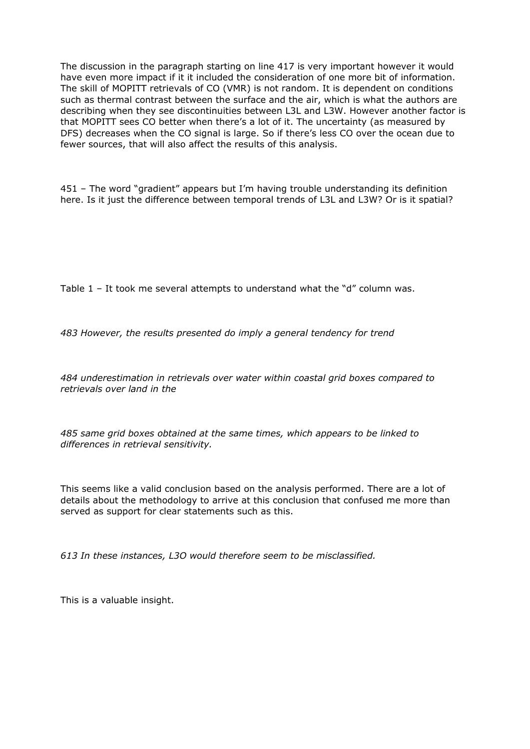The discussion in the paragraph starting on line 417 is very important however it would have even more impact if it it included the consideration of one more bit of information. The skill of MOPITT retrievals of CO (VMR) is not random. It is dependent on conditions such as thermal contrast between the surface and the air, which is what the authors are describing when they see discontinuities between L3L and L3W. However another factor is that MOPITT sees CO better when there's a lot of it. The uncertainty (as measured by DFS) decreases when the CO signal is large. So if there's less CO over the ocean due to fewer sources, that will also affect the results of this analysis.

451 – The word "gradient" appears but I'm having trouble understanding its definition here. Is it just the difference between temporal trends of L3L and L3W? Or is it spatial?

Table 1 – It took me several attempts to understand what the "d" column was.

*483 However, the results presented do imply a general tendency for trend*

*484 underestimation in retrievals over water within coastal grid boxes compared to retrievals over land in the*

*485 same grid boxes obtained at the same times, which appears to be linked to differences in retrieval sensitivity.*

This seems like a valid conclusion based on the analysis performed. There are a lot of details about the methodology to arrive at this conclusion that confused me more than served as support for clear statements such as this.

*613 In these instances, L3O would therefore seem to be misclassified.*

This is a valuable insight.